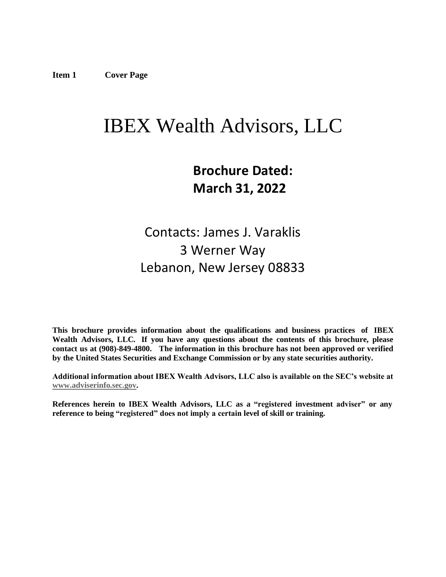# <span id="page-0-0"></span>IBEX Wealth Advisors, LLC

## **Brochure Dated: March 31, 2022**

## Contacts: James J. Varaklis 3 Werner Way Lebanon, New Jersey 08833

**This brochure provides information about the qualifications and business practices of IBEX Wealth Advisors, LLC. If you have any questions about the contents of this brochure, please contact us at (908)-849-4800. The information in this brochure has not been approved or verified by the United States Securities and Exchange Commission or by any state securities authority.**

**Additional information about IBEX Wealth Advisors, LLC also is available on the SEC's website at [www.adviserinfo.sec.gov.](http://www.adviserinfo.sec.gov/)**

**References herein to IBEX Wealth Advisors, LLC as a "registered investment adviser" or any reference to being "registered" does not imply a certain level of skill or training.**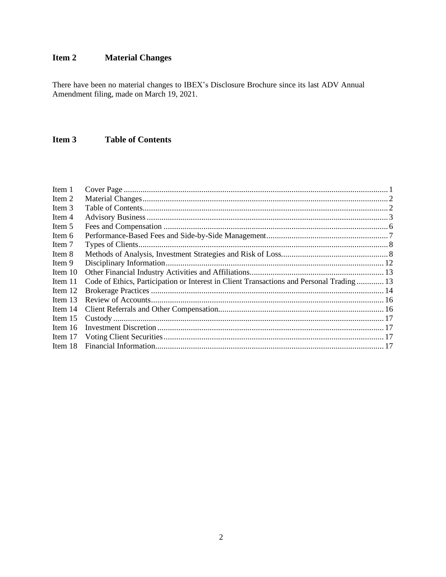#### <span id="page-1-0"></span>Item 2 **Material Changes**

There have been no material changes to IBEX's Disclosure Brochure since its last ADV Annual Amendment filing, made on March 19, 2021.

#### <span id="page-1-1"></span>Item 3 **Table of Contents**

| Item 1    |                                                                                          |  |
|-----------|------------------------------------------------------------------------------------------|--|
| Item 2    |                                                                                          |  |
| Item 3    |                                                                                          |  |
| Item 4    |                                                                                          |  |
| Item 5    |                                                                                          |  |
| Item 6    |                                                                                          |  |
| Item 7    |                                                                                          |  |
| Item 8    |                                                                                          |  |
| Item 9    |                                                                                          |  |
| Item $10$ |                                                                                          |  |
| Item 11   | Code of Ethics, Participation or Interest in Client Transactions and Personal Trading 13 |  |
| Item 12   |                                                                                          |  |
| Item $13$ |                                                                                          |  |
| Item $14$ |                                                                                          |  |
| Item $15$ |                                                                                          |  |
| Item $16$ |                                                                                          |  |
| Item 17   |                                                                                          |  |
| Item 18   |                                                                                          |  |
|           |                                                                                          |  |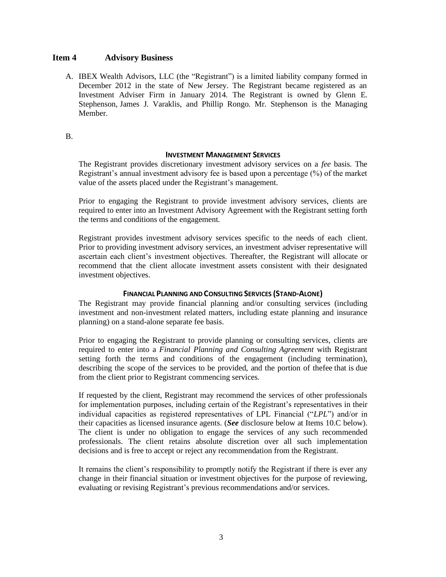#### <span id="page-2-0"></span>**Item 4 Advisory Business**

A. IBEX Wealth Advisors, LLC (the "Registrant") is a limited liability company formed in December 2012 in the state of New Jersey. The Registrant became registered as an Investment Adviser Firm in January 2014. The Registrant is owned by Glenn E. Stephenson, James J. Varaklis, and Phillip Rongo. Mr. Stephenson is the Managing Member.

B.

#### **INVESTMENT MANAGEMENT SERVICES**

The Registrant provides discretionary investment advisory services on a *fee* basis. The Registrant's annual investment advisory fee is based upon a percentage (%) of the market value of the assets placed under the Registrant's management.

Prior to engaging the Registrant to provide investment advisory services, clients are required to enter into an Investment Advisory Agreement with the Registrant setting forth the terms and conditions of the engagement.

Registrant provides investment advisory services specific to the needs of each client. Prior to providing investment advisory services, an investment adviser representative will ascertain each client's investment objectives. Thereafter, the Registrant will allocate or recommend that the client allocate investment assets consistent with their designated investment objectives.

#### **FINANCIAL PLANNING AND CONSULTING SERVICES (STAND-ALONE)**

The Registrant may provide financial planning and/or consulting services (including investment and non-investment related matters, including estate planning and insurance planning) on a stand-alone separate fee basis.

Prior to engaging the Registrant to provide planning or consulting services, clients are required to enter into a *Financial Planning and Consulting Agreement* with Registrant setting forth the terms and conditions of the engagement (including termination), describing the scope of the services to be provided, and the portion of thefee that is due from the client prior to Registrant commencing services.

If requested by the client, Registrant may recommend the services of other professionals for implementation purposes, including certain of the Registrant's representatives in their individual capacities as registered representatives of LPL Financial ("*LPL*") and/or in their capacities as licensed insurance agents. (*See* disclosure below at Items 10.C below). The client is under no obligation to engage the services of any such recommended professionals. The client retains absolute discretion over all such implementation decisions and is free to accept or reject any recommendation from the Registrant.

It remains the client's responsibility to promptly notify the Registrant if there is ever any change in their financial situation or investment objectives for the purpose of reviewing, evaluating or revising Registrant's previous recommendations and/or services.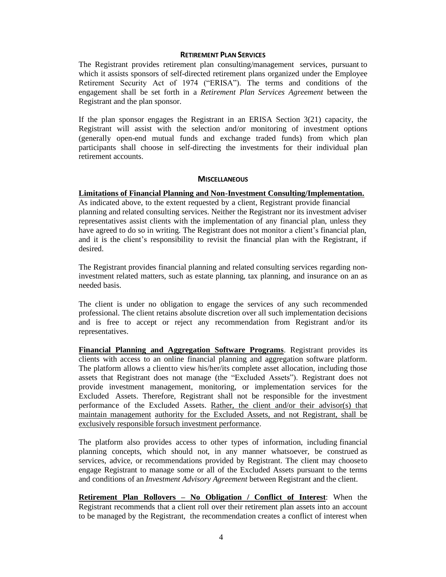#### **RETIREMENT PLAN SERVICES**

The Registrant provides retirement plan consulting/management services, pursuant to which it assists sponsors of self-directed retirement plans organized under the Employee Retirement Security Act of 1974 ("ERISA"). The terms and conditions of the engagement shall be set forth in a *Retirement Plan Services Agreement* between the Registrant and the plan sponsor.

If the plan sponsor engages the Registrant in an ERISA Section 3(21) capacity, the Registrant will assist with the selection and/or monitoring of investment options (generally open-end mutual funds and exchange traded funds) from which plan participants shall choose in self-directing the investments for their individual plan retirement accounts.

#### **MISCELLANEOUS**

#### **Limitations of Financial Planning and Non-Investment Consulting/Implementation.**

As indicated above, to the extent requested by a client, Registrant provide financial planning and related consulting services. Neither the Registrant nor its investment adviser representatives assist clients with the implementation of any financial plan, unless they have agreed to do so in writing. The Registrant does not monitor a client's financial plan, and it is the client's responsibility to revisit the financial plan with the Registrant, if desired.

The Registrant provides financial planning and related consulting services regarding noninvestment related matters, such as estate planning, tax planning, and insurance on an as needed basis.

The client is under no obligation to engage the services of any such recommended professional. The client retains absolute discretion over all such implementation decisions and is free to accept or reject any recommendation from Registrant and/or its representatives.

**Financial Planning and Aggregation Software Programs**. Registrant provides its clients with access to an online financial planning and aggregation software platform. The platform allows a clientto view his/her/its complete asset allocation, including those assets that Registrant does not manage (the "Excluded Assets"). Registrant does not provide investment management, monitoring, or implementation services for the Excluded Assets. Therefore, Registrant shall not be responsible for the investment performance of the Excluded Assets. Rather, the client and/or their advisor(s) that maintain management authority for the Excluded Assets, and not Registrant, shall be exclusively responsible forsuch investment performance.

The platform also provides access to other types of information, including financial planning concepts, which should not, in any manner whatsoever, be construed as services, advice, or recommendations provided by Registrant. The client may chooseto engage Registrant to manage some or all of the Excluded Assets pursuant to the terms and conditions of an *Investment Advisory Agreement* between Registrant and the client.

**Retirement Plan Rollovers – No Obligation / Conflict of Interest**: When the Registrant recommends that a client roll over their retirement plan assets into an account to be managed by the Registrant, the recommendation creates a conflict of interest when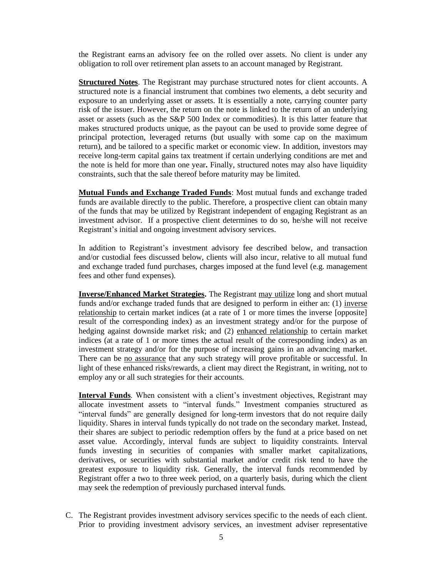the Registrant earns an advisory fee on the rolled over assets. No client is under any obligation to roll over retirement plan assets to an account managed by Registrant.

**Structured Notes**. The Registrant may purchase structured notes for client accounts. A structured note is a financial instrument that combines two elements, a debt security and exposure to an underlying asset or assets. It is essentially a note, carrying counter party risk of the issuer. However, the return on the note is linked to the return of an underlying asset or assets (such as the S&P 500 Index or commodities). It is this latter feature that makes structured products unique, as the payout can be used to provide some degree of principal protection, leveraged returns (but usually with some cap on the maximum return), and be tailored to a specific market or economic view. In addition, investors may receive long-term capital gains tax treatment if certain underlying conditions are met and the note is held for more than one year**.** Finally, structured notes may also have liquidity constraints, such that the sale thereof before maturity may be limited.

**Mutual Funds and Exchange Traded Funds**: Most mutual funds and exchange traded funds are available directly to the public. Therefore, a prospective client can obtain many of the funds that may be utilized by Registrant independent of engaging Registrant as an investment advisor. If a prospective client determines to do so, he/she will not receive Registrant's initial and ongoing investment advisory services.

In addition to Registrant's investment advisory fee described below, and transaction and/or custodial fees discussed below, clients will also incur, relative to all mutual fund and exchange traded fund purchases, charges imposed at the fund level (e.g. management fees and other fund expenses).

**Inverse/Enhanced Market Strategies.** The Registrant may utilize long and short mutual funds and/or exchange traded funds that are designed to perform in either an: (1) inverse relationship to certain market indices (at a rate of 1 or more times the inverse [opposite] result of the corresponding index) as an investment strategy and/or for the purpose of hedging against downside market risk; and (2) enhanced relationship to certain market indices (at a rate of 1 or more times the actual result of the corresponding index) as an investment strategy and/or for the purpose of increasing gains in an advancing market. There can be no assurance that any such strategy will prove profitable or successful. In light of these enhanced risks/rewards, a client may direct the Registrant, in writing, not to employ any or all such strategies for their accounts.

**Interval Funds**. When consistent with a client's investment objectives, Registrant may allocate investment assets to "interval funds." Investment companies structured as "interval funds" are generally designed for long-term investors that do not require daily liquidity. Shares in interval funds typically do not trade on the secondary market. Instead, their shares are subject to periodic redemption offers by the fund at a price based on net asset value. Accordingly, interval funds are subject to liquidity constraints. Interval funds investing in securities of companies with smaller market capitalizations, derivatives, or securities with substantial market and/or credit risk tend to have the greatest exposure to liquidity risk. Generally, the interval funds recommended by Registrant offer a two to three week period, on a quarterly basis, during which the client may seek the redemption of previously purchased interval funds.

C. The Registrant provides investment advisory services specific to the needs of each client. Prior to providing investment advisory services, an investment adviser representative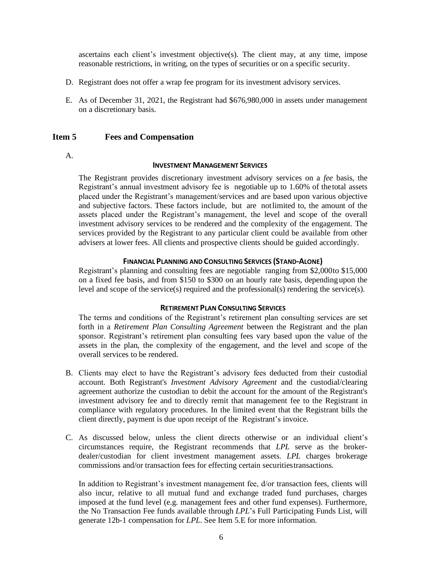ascertains each client's investment objective(s). The client may, at any time, impose reasonable restrictions, in writing, on the types of securities or on a specific security.

- D. Registrant does not offer a wrap fee program for its investment advisory services.
- <span id="page-5-0"></span>E. As of December 31, 2021, the Registrant had \$676,980,000 in assets under management on a discretionary basis.

#### **Item 5 Fees and Compensation**

A.

#### **INVESTMENT MANAGEMENT SERVICES**

The Registrant provides discretionary investment advisory services on a *fee* basis, the Registrant's annual investment advisory fee is negotiable up to 1.60% of thetotal assets placed under the Registrant's management/services and are based upon various objective and subjective factors. These factors include, but are notlimited to, the amount of the assets placed under the Registrant's management, the level and scope of the overall investment advisory services to be rendered and the complexity of the engagement. The services provided by the Registrant to any particular client could be available from other advisers at lower fees. All clients and prospective clients should be guided accordingly.

#### **FINANCIAL PLANNING AND CONSULTING SERVICES (STAND-ALONE)**

Registrant's planning and consulting fees are negotiable ranging from \$2,000to \$15,000 on a fixed fee basis, and from \$150 to \$300 on an hourly rate basis, dependingupon the level and scope of the service(s) required and the professional(s) rendering the service(s).

#### **RETIREMENT PLAN CONSULTING SERVICES**

The terms and conditions of the Registrant's retirement plan consulting services are set forth in a *Retirement Plan Consulting Agreement* between the Registrant and the plan sponsor. Registrant's retirement plan consulting fees vary based upon the value of the assets in the plan, the complexity of the engagement, and the level and scope of the overall services to be rendered.

- B. Clients may elect to have the Registrant's advisory fees deducted from their custodial account. Both Registrant's *Investment Advisory Agreement* and the custodial/clearing agreement authorize the custodian to debit the account for the amount of the Registrant's investment advisory fee and to directly remit that management fee to the Registrant in compliance with regulatory procedures. In the limited event that the Registrant bills the client directly, payment is due upon receipt of the Registrant's invoice.
- C. As discussed below, unless the client directs otherwise or an individual client's circumstances require, the Registrant recommends that *LPL* serve as the brokerdealer/custodian for client investment management assets. *LPL* charges brokerage commissions and/or transaction fees for effecting certain securities transactions.

In addition to Registrant's investment management fee, d/or transaction fees, clients will also incur, relative to all mutual fund and exchange traded fund purchases, charges imposed at the fund level (e.g. management fees and other fund expenses). Furthermore, the No Transaction Fee funds available through *LPL*'s Full Participating Funds List, will generate 12b-1 compensation for *LPL*. See Item 5.E for more information.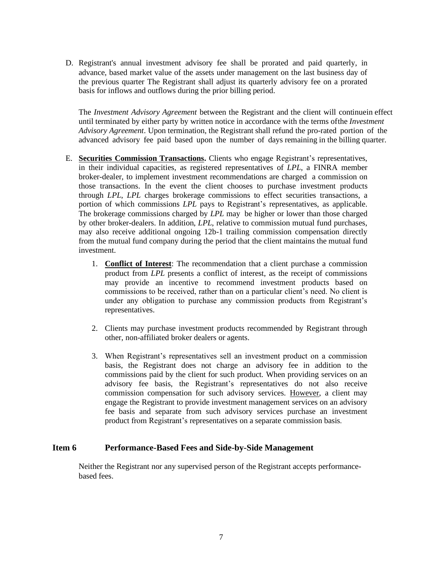D. Registrant's annual investment advisory fee shall be prorated and paid quarterly, in advance, based market value of the assets under management on the last business day of the previous quarter The Registrant shall adjust its quarterly advisory fee on a prorated basis for inflows and outflows during the prior billing period.

The *Investment Advisory Agreement* between the Registrant and the client will continuein effect until terminated by either party by written notice in accordance with the terms ofthe *Investment Advisory Agreement*. Upon termination, the Registrant shall refund the pro-rated portion of the advanced advisory fee paid based upon the number of days remaining in the billing quarter.

- E. **Securities Commission Transactions.** Clients who engage Registrant's representatives, in their individual capacities, as registered representatives of *LPL*, a FINRA member broker-dealer, to implement investment recommendations are charged a commission on those transactions. In the event the client chooses to purchase investment products through *LPL*, *LPL* charges brokerage commissions to effect securities transactions, a portion of which commissions *LPL* pays to Registrant's representatives, as applicable. The brokerage commissions charged by *LPL* may be higher or lower than those charged by other broker-dealers. In addition, *LPL*, relative to commission mutual fund purchases, may also receive additional ongoing 12b-1 trailing commission compensation directly from the mutual fund company during the period that the client maintains the mutual fund investment.
	- 1. **Conflict of Interest**: The recommendation that a client purchase a commission product from *LPL* presents a conflict of interest, as the receipt of commissions may provide an incentive to recommend investment products based on commissions to be received, rather than on a particular client's need. No client is under any obligation to purchase any commission products from Registrant's representatives.
	- 2. Clients may purchase investment products recommended by Registrant through other, non-affiliated broker dealers or agents.
	- 3. When Registrant's representatives sell an investment product on a commission basis, the Registrant does not charge an advisory fee in addition to the commissions paid by the client for such product. When providing services on an advisory fee basis, the Registrant's representatives do not also receive commission compensation for such advisory services. However, a client may engage the Registrant to provide investment management services on an advisory fee basis and separate from such advisory services purchase an investment product from Registrant's representatives on a separate commission basis.

#### <span id="page-6-0"></span>**Item 6 Performance-Based Fees and Side-by-Side Management**

Neither the Registrant nor any supervised person of the Registrant accepts performancebased fees.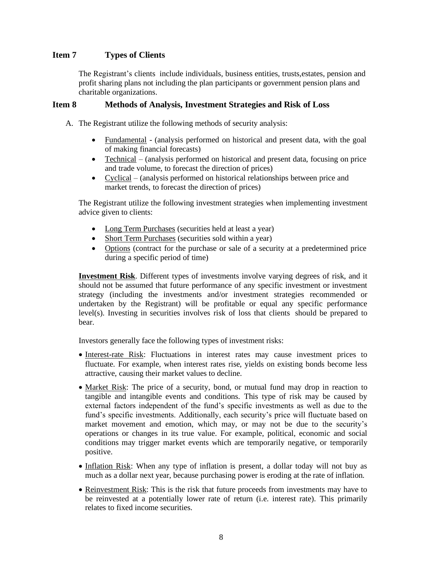### <span id="page-7-0"></span>**Item 7 Types of Clients**

The Registrant's clients include individuals, business entities, trusts,estates, pension and profit sharing plans not including the plan participants or government pension plans and charitable organizations.

#### <span id="page-7-1"></span>**Item 8 Methods of Analysis, Investment Strategies and Risk of Loss**

A. The Registrant utilize the following methods of security analysis:

- Fundamental (analysis performed on historical and present data, with the goal of making financial forecasts)
- Technical (analysis performed on historical and present data, focusing on price and trade volume, to forecast the direction of prices)
- Cyclical (analysis performed on historical relationships between price and market trends, to forecast the direction of prices)

The Registrant utilize the following investment strategies when implementing investment advice given to clients:

- Long Term Purchases (securities held at least a year)
- Short Term Purchases (securities sold within a year)
- Options (contract for the purchase or sale of a security at a predetermined price during a specific period of time)

**Investment Risk**. Different types of investments involve varying degrees of risk, and it should not be assumed that future performance of any specific investment or investment strategy (including the investments and/or investment strategies recommended or undertaken by the Registrant) will be profitable or equal any specific performance level(s). Investing in securities involves risk of loss that clients should be prepared to bear.

Investors generally face the following types of investment risks:

- Interest-rate Risk: Fluctuations in interest rates may cause investment prices to fluctuate. For example, when interest rates rise, yields on existing bonds become less attractive, causing their market values to decline.
- Market Risk: The price of a security, bond, or mutual fund may drop in reaction to tangible and intangible events and conditions. This type of risk may be caused by external factors independent of the fund's specific investments as well as due to the fund's specific investments. Additionally, each security's price will fluctuate based on market movement and emotion, which may, or may not be due to the security's operations or changes in its true value. For example, political, economic and social conditions may trigger market events which are temporarily negative, or temporarily positive.
- Inflation Risk: When any type of inflation is present, a dollar today will not buy as much as a dollar next year, because purchasing power is eroding at the rate of inflation.
- Reinvestment Risk: This is the risk that future proceeds from investments may have to be reinvested at a potentially lower rate of return (i.e. interest rate). This primarily relates to fixed income securities.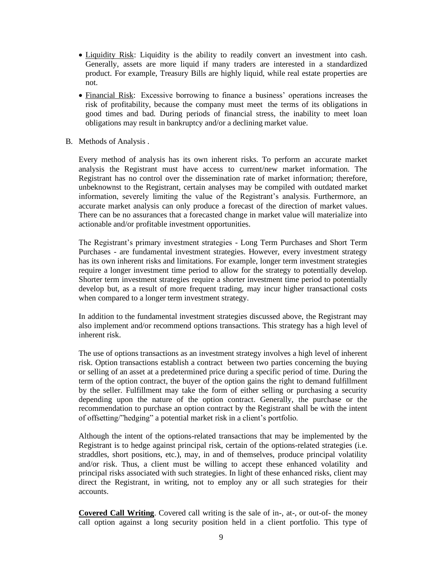- Liquidity Risk: Liquidity is the ability to readily convert an investment into cash. Generally, assets are more liquid if many traders are interested in a standardized product. For example, Treasury Bills are highly liquid, while real estate properties are not.
- Financial Risk: Excessive borrowing to finance a business' operations increases the risk of profitability, because the company must meet the terms of its obligations in good times and bad. During periods of financial stress, the inability to meet loan obligations may result in bankruptcy and/or a declining market value.
- B. Methods of Analysis .

Every method of analysis has its own inherent risks. To perform an accurate market analysis the Registrant must have access to current/new market information. The Registrant has no control over the dissemination rate of market information; therefore, unbeknownst to the Registrant, certain analyses may be compiled with outdated market information, severely limiting the value of the Registrant's analysis. Furthermore, an accurate market analysis can only produce a forecast of the direction of market values. There can be no assurances that a forecasted change in market value will materialize into actionable and/or profitable investment opportunities.

The Registrant's primary investment strategies - Long Term Purchases and Short Term Purchases - are fundamental investment strategies. However, every investment strategy has its own inherent risks and limitations. For example, longer term investment strategies require a longer investment time period to allow for the strategy to potentially develop. Shorter term investment strategies require a shorter investment time period to potentially develop but, as a result of more frequent trading, may incur higher transactional costs when compared to a longer term investment strategy.

In addition to the fundamental investment strategies discussed above, the Registrant may also implement and/or recommend options transactions. This strategy has a high level of inherent risk.

The use of options transactions as an investment strategy involves a high level of inherent risk. Option transactions establish a contract between two parties concerning the buying or selling of an asset at a predetermined price during a specific period of time. During the term of the option contract, the buyer of the option gains the right to demand fulfillment by the seller. Fulfillment may take the form of either selling or purchasing a security depending upon the nature of the option contract. Generally, the purchase or the recommendation to purchase an option contract by the Registrant shall be with the intent of offsetting/"hedging" a potential market risk in a client's portfolio.

Although the intent of the options-related transactions that may be implemented by the Registrant is to hedge against principal risk, certain of the options-related strategies (i.e. straddles, short positions, etc.), may, in and of themselves, produce principal volatility and/or risk. Thus, a client must be willing to accept these enhanced volatility and principal risks associated with such strategies. In light of these enhanced risks, client may direct the Registrant, in writing, not to employ any or all such strategies for their accounts.

**Covered Call Writing**. Covered call writing is the sale of in-, at-, or out-of- the money call option against a long security position held in a client portfolio. This type of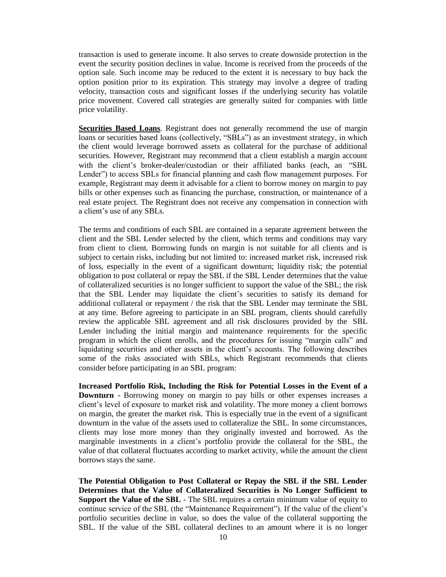transaction is used to generate income. It also serves to create downside protection in the event the security position declines in value. Income is received from the proceeds of the option sale. Such income may be reduced to the extent it is necessary to buy back the option position prior to its expiration. This strategy may involve a degree of trading velocity, transaction costs and significant losses if the underlying security has volatile price movement. Covered call strategies are generally suited for companies with little price volatility.

**Securities Based Loans**. Registrant does not generally recommend the use of margin loans or securities based loans (collectively, "SBLs") as an investment strategy, in which the client would leverage borrowed assets as collateral for the purchase of additional securities. However, Registrant may recommend that a client establish a margin account with the client's broker-dealer/custodian or their affiliated banks (each, an "SBL Lender") to access SBLs for financial planning and cash flow management purposes. For example, Registrant may deem it advisable for a client to borrow money on margin to pay bills or other expenses such as financing the purchase, construction, or maintenance of a real estate project. The Registrant does not receive any compensation in connection with a client's use of any SBLs.

The terms and conditions of each SBL are contained in a separate agreement between the client and the SBL Lender selected by the client, which terms and conditions may vary from client to client. Borrowing funds on margin is not suitable for all clients and is subject to certain risks, including but not limited to: increased market risk, increased risk of loss, especially in the event of a significant downturn; liquidity risk; the potential obligation to post collateral or repay the SBL if the SBL Lender determines that the value of collateralized securities is no longer sufficient to support the value of the SBL; the risk that the SBL Lender may liquidate the client's securities to satisfy its demand for additional collateral or repayment / the risk that the SBL Lender may terminate the SBL at any time. Before agreeing to participate in an SBL program, clients should carefully review the applicable SBL agreement and all risk disclosures provided by the SBL Lender including the initial margin and maintenance requirements for the specific program in which the client enrolls, and the procedures for issuing "margin calls" and liquidating securities and other assets in the client's accounts. The following describes some of the risks associated with SBLs, which Registrant recommends that clients consider before participating in an SBL program:

**Increased Portfolio Risk, Including the Risk for Potential Losses in the Event of a Downturn** - Borrowing money on margin to pay bills or other expenses increases a client's level of exposure to market risk and volatility. The more money a client borrows on margin, the greater the market risk. This is especially true in the event of a significant downturn in the value of the assets used to collateralize the SBL. In some circumstances, clients may lose more money than they originally invested and borrowed. As the marginable investments in a client's portfolio provide the collateral for the SBL, the value of that collateral fluctuates according to market activity, while the amount the client borrows stays the same.

**The Potential Obligation to Post Collateral or Repay the SBL if the SBL Lender Determines that the Value of Collateralized Securities is No Longer Sufficient to Support the Value of the SBL** - The SBL requires a certain minimum value of equity to continue service of the SBL (the "Maintenance Requirement"). If the value of the client's portfolio securities decline in value, so does the value of the collateral supporting the SBL. If the value of the SBL collateral declines to an amount where it is no longer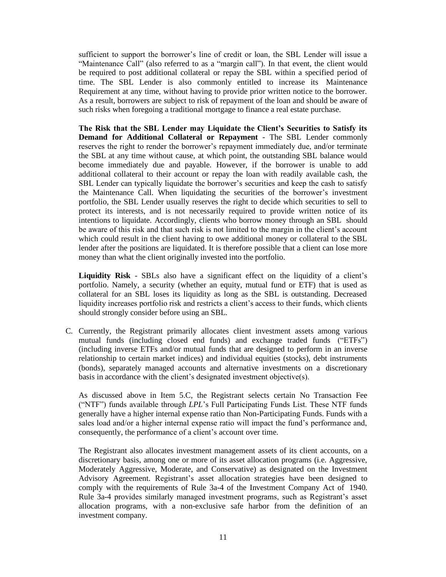sufficient to support the borrower's line of credit or loan, the SBL Lender will issue a "Maintenance Call" (also referred to as a "margin call"). In that event, the client would be required to post additional collateral or repay the SBL within a specified period of time. The SBL Lender is also commonly entitled to increase its Maintenance Requirement at any time, without having to provide prior written notice to the borrower. As a result, borrowers are subject to risk of repayment of the loan and should be aware of such risks when foregoing a traditional mortgage to finance a real estate purchase.

**The Risk that the SBL Lender may Liquidate the Client's Securities to Satisfy its Demand for Additional Collateral or Repayment** - The SBL Lender commonly reserves the right to render the borrower's repayment immediately due, and/or terminate the SBL at any time without cause, at which point, the outstanding SBL balance would become immediately due and payable. However, if the borrower is unable to add additional collateral to their account or repay the loan with readily available cash, the SBL Lender can typically liquidate the borrower's securities and keep the cash to satisfy the Maintenance Call. When liquidating the securities of the borrower's investment portfolio, the SBL Lender usually reserves the right to decide which securities to sell to protect its interests, and is not necessarily required to provide written notice of its intentions to liquidate. Accordingly, clients who borrow money through an SBL should be aware of this risk and that such risk is not limited to the margin in the client's account which could result in the client having to owe additional money or collateral to the SBL lender after the positions are liquidated. It is therefore possible that a client can lose more money than what the client originally invested into the portfolio.

**Liquidity Risk** - SBLs also have a significant effect on the liquidity of a client's portfolio. Namely, a security (whether an equity, mutual fund or ETF) that is used as collateral for an SBL loses its liquidity as long as the SBL is outstanding. Decreased liquidity increases portfolio risk and restricts a client's access to their funds, which clients should strongly consider before using an SBL.

C. Currently, the Registrant primarily allocates client investment assets among various mutual funds (including closed end funds) and exchange traded funds ("ETFs") (including inverse ETFs and/or mutual funds that are designed to perform in an inverse relationship to certain market indices) and individual equities (stocks), debt instruments (bonds), separately managed accounts and alternative investments on a discretionary basis in accordance with the client's designated investment objective(s).

As discussed above in Item 5.C, the Registrant selects certain No Transaction Fee ("NTF") funds available through *LPL*'s Full Participating Funds List. These NTF funds generally have a higher internal expense ratio than Non-Participating Funds. Funds with a sales load and/or a higher internal expense ratio will impact the fund's performance and, consequently, the performance of a client's account over time.

The Registrant also allocates investment management assets of its client accounts, on a discretionary basis, among one or more of its asset allocation programs (i.e. Aggressive, Moderately Aggressive, Moderate, and Conservative) as designated on the Investment Advisory Agreement. Registrant's asset allocation strategies have been designed to comply with the requirements of Rule 3a-4 of the Investment Company Act of 1940. Rule 3a-4 provides similarly managed investment programs, such as Registrant's asset allocation programs, with a non-exclusive safe harbor from the definition of an investment company.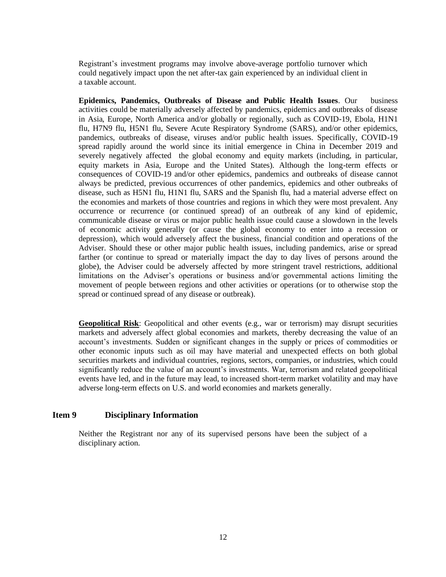Registrant's investment programs may involve above-average portfolio turnover which could negatively impact upon the net after-tax gain experienced by an individual client in a taxable account.

**Epidemics, Pandemics, Outbreaks of Disease and Public Health Issues**. Our business activities could be materially adversely affected by pandemics, epidemics and outbreaks of disease in Asia, Europe, North America and/or globally or regionally, such as COVID-19, Ebola, H1N1 flu, H7N9 flu, H5N1 flu, Severe Acute Respiratory Syndrome (SARS), and/or other epidemics, pandemics, outbreaks of disease, viruses and/or public health issues. Specifically, COVID-19 spread rapidly around the world since its initial emergence in China in December 2019 and severely negatively affected the global economy and equity markets (including, in particular, equity markets in Asia, Europe and the United States). Although the long-term effects or consequences of COVID-19 and/or other epidemics, pandemics and outbreaks of disease cannot always be predicted, previous occurrences of other pandemics, epidemics and other outbreaks of disease, such as H5N1 flu, H1N1 flu, SARS and the Spanish flu, had a material adverse effect on the economies and markets of those countries and regions in which they were most prevalent. Any occurrence or recurrence (or continued spread) of an outbreak of any kind of epidemic, communicable disease or virus or major public health issue could cause a slowdown in the levels of economic activity generally (or cause the global economy to enter into a recession or depression), which would adversely affect the business, financial condition and operations of the Adviser. Should these or other major public health issues, including pandemics, arise or spread farther (or continue to spread or materially impact the day to day lives of persons around the globe), the Adviser could be adversely affected by more stringent travel restrictions, additional limitations on the Adviser's operations or business and/or governmental actions limiting the movement of people between regions and other activities or operations (or to otherwise stop the spread or continued spread of any disease or outbreak).

**Geopolitical Risk**: Geopolitical and other events (e.g., war or terrorism) may disrupt securities markets and adversely affect global economies and markets, thereby decreasing the value of an account's investments. Sudden or significant changes in the supply or prices of commodities or other economic inputs such as oil may have material and unexpected effects on both global securities markets and individual countries, regions, sectors, companies, or industries, which could significantly reduce the value of an account's investments. War, terrorism and related geopolitical events have led, and in the future may lead, to increased short-term market volatility and may have adverse long-term effects on U.S. and world economies and markets generally.

#### <span id="page-11-0"></span>**Item 9 Disciplinary Information**

Neither the Registrant nor any of its supervised persons have been the subject of a disciplinary action.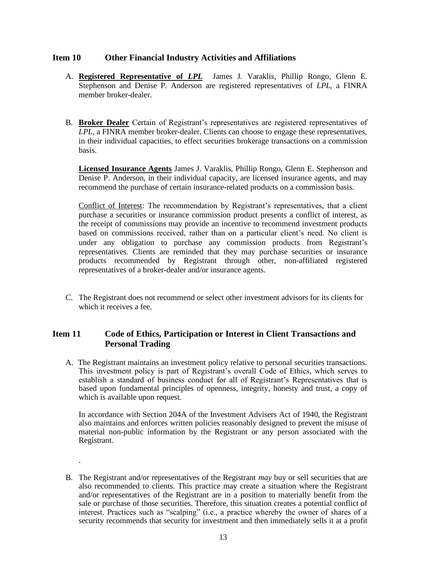#### <span id="page-12-0"></span>**Item 10 Other Financial Industry Activities and Affiliations**

- A. **Registered Representative of** *LPL* James J. Varaklis, Phillip Rongo, Glenn E. Stephenson and Denise P. Anderson are registered representatives of *LPL*, a FINRA member broker-dealer.
- B. **Broker Dealer** Certain of Registrant's representatives are registered representatives of *LPL*, a FINRA member broker-dealer. Clients can choose to engage these representatives, in their individual capacities, to effect securities brokerage transactions on a commission basis.

**Licensed Insurance Agents** James J. Varaklis, Phillip Rongo, Glenn E. Stephenson and Denise P. Anderson, in their individual capacity, are licensed insurance agents, and may recommend the purchase of certain insurance-related products on a commission basis.

Conflict of Interest: The recommendation by Registrant's representatives, that a client purchase a securities or insurance commission product presents a conflict of interest, as the receipt of commissions may provide an incentive to recommend investment products based on commissions received, rather than on a particular client's need. No client is under any obligation to purchase any commission products from Registrant's representatives. Clients are reminded that they may purchase securities or insurance products recommended by Registrant through other, non-affiliated registered representatives of a broker-dealer and/or insurance agents.

<span id="page-12-1"></span>C. The Registrant does not recommend or select other investment advisors for its clients for which it receives a fee.

### **Item 11 Code of Ethics, Participation or Interest in Client Transactions and Personal Trading**

A. The Registrant maintains an investment policy relative to personal securities transactions. This investment policy is part of Registrant's overall Code of Ethics, which serves to establish a standard of business conduct for all of Registrant's Representatives that is based upon fundamental principles of openness, integrity, honesty and trust, a copy of which is available upon request.

In accordance with Section 204A of the Investment Advisers Act of 1940, the Registrant also maintains and enforces written policies reasonably designed to prevent the misuse of material non-public information by the Registrant or any person associated with the Registrant.

B. The Registrant and/or representatives of the Registrant *may* buy or sell securities that are also recommended to clients. This practice may create a situation where the Registrant and/or representatives of the Registrant are in a position to materially benefit from the sale or purchase of those securities. Therefore, this situation creates a potential conflict of interest. Practices such as "scalping" (i.e., a practice whereby the owner of shares of a security recommends that security for investment and then immediately sells it at a profit

.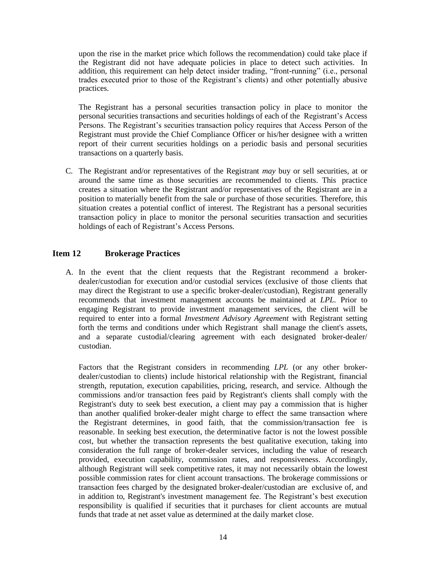upon the rise in the market price which follows the recommendation) could take place if the Registrant did not have adequate policies in place to detect such activities. In addition, this requirement can help detect insider trading, "front-running" (i.e., personal trades executed prior to those of the Registrant's clients) and other potentially abusive practices.

The Registrant has a personal securities transaction policy in place to monitor the personal securities transactions and securities holdings of each of the Registrant's Access Persons. The Registrant's securities transaction policy requires that Access Person of the Registrant must provide the Chief Compliance Officer or his/her designee with a written report of their current securities holdings on a periodic basis and personal securities transactions on a quarterly basis.

C. The Registrant and/or representatives of the Registrant *may* buy or sell securities, at or around the same time as those securities are recommended to clients. This practice creates a situation where the Registrant and/or representatives of the Registrant are in a position to materially benefit from the sale or purchase of those securities. Therefore, this situation creates a potential conflict of interest. The Registrant has a personal securities transaction policy in place to monitor the personal securities transaction and securities holdings of each of Registrant's Access Persons.

#### <span id="page-13-0"></span>**Item 12 Brokerage Practices**

A. In the event that the client requests that the Registrant recommend a brokerdealer/custodian for execution and/or custodial services (exclusive of those clients that may direct the Registrant to use a specific broker-dealer/custodian), Registrant generally recommends that investment management accounts be maintained at *LPL*. Prior to engaging Registrant to provide investment management services, the client will be required to enter into a formal *Investment Advisory Agreement* with Registrant setting forth the terms and conditions under which Registrant shall manage the client's assets, and a separate custodial/clearing agreement with each designated broker-dealer/ custodian.

Factors that the Registrant considers in recommending *LPL* (or any other brokerdealer/custodian to clients) include historical relationship with the Registrant, financial strength, reputation, execution capabilities, pricing, research, and service. Although the commissions and/or transaction fees paid by Registrant's clients shall comply with the Registrant's duty to seek best execution, a client may pay a commission that is higher than another qualified broker-dealer might charge to effect the same transaction where the Registrant determines, in good faith, that the commission/transaction fee is reasonable. In seeking best execution, the determinative factor is not the lowest possible cost, but whether the transaction represents the best qualitative execution, taking into consideration the full range of broker-dealer services, including the value of research provided, execution capability, commission rates, and responsiveness. Accordingly, although Registrant will seek competitive rates, it may not necessarily obtain the lowest possible commission rates for client account transactions. The brokerage commissions or transaction fees charged by the designated broker-dealer/custodian are exclusive of, and in addition to, Registrant's investment management fee. The Registrant's best execution responsibility is qualified if securities that it purchases for client accounts are mutual funds that trade at net asset value as determined at the daily market close.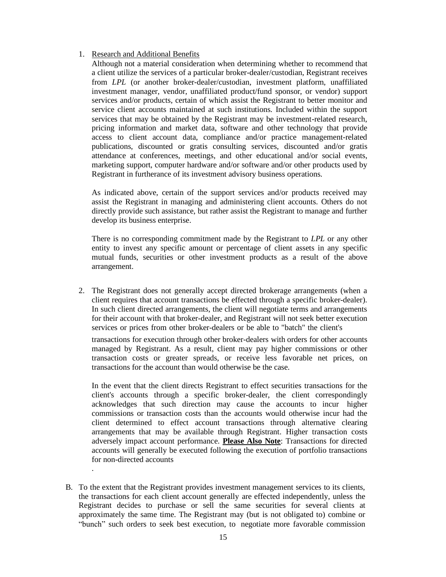#### 1. Research and Additional Benefits

.

Although not a material consideration when determining whether to recommend that a client utilize the services of a particular broker-dealer/custodian, Registrant receives from *LPL* (or another broker-dealer/custodian, investment platform, unaffiliated investment manager, vendor, unaffiliated product/fund sponsor, or vendor) support services and/or products, certain of which assist the Registrant to better monitor and service client accounts maintained at such institutions. Included within the support services that may be obtained by the Registrant may be investment-related research, pricing information and market data, software and other technology that provide access to client account data, compliance and/or practice management-related publications, discounted or gratis consulting services, discounted and/or gratis attendance at conferences, meetings, and other educational and/or social events, marketing support, computer hardware and/or software and/or other products used by Registrant in furtherance of its investment advisory business operations.

As indicated above, certain of the support services and/or products received may assist the Registrant in managing and administering client accounts. Others do not directly provide such assistance, but rather assist the Registrant to manage and further develop its business enterprise.

There is no corresponding commitment made by the Registrant to *LPL* or any other entity to invest any specific amount or percentage of client assets in any specific mutual funds, securities or other investment products as a result of the above arrangement.

2. The Registrant does not generally accept directed brokerage arrangements (when a client requires that account transactions be effected through a specific broker-dealer). In such client directed arrangements, the client will negotiate terms and arrangements for their account with that broker-dealer, and Registrant will not seek better execution services or prices from other broker-dealers or be able to "batch" the client's

transactions for execution through other broker-dealers with orders for other accounts managed by Registrant. As a result, client may pay higher commissions or other transaction costs or greater spreads, or receive less favorable net prices, on transactions for the account than would otherwise be the case.

In the event that the client directs Registrant to effect securities transactions for the client's accounts through a specific broker-dealer, the client correspondingly acknowledges that such direction may cause the accounts to incur higher commissions or transaction costs than the accounts would otherwise incur had the client determined to effect account transactions through alternative clearing arrangements that may be available through Registrant. Higher transaction costs adversely impact account performance. **Please Also Note**: Transactions for directed accounts will generally be executed following the execution of portfolio transactions for non-directed accounts

B. To the extent that the Registrant provides investment management services to its clients, the transactions for each client account generally are effected independently, unless the Registrant decides to purchase or sell the same securities for several clients at approximately the same time. The Registrant may (but is not obligated to) combine or "bunch" such orders to seek best execution, to negotiate more favorable commission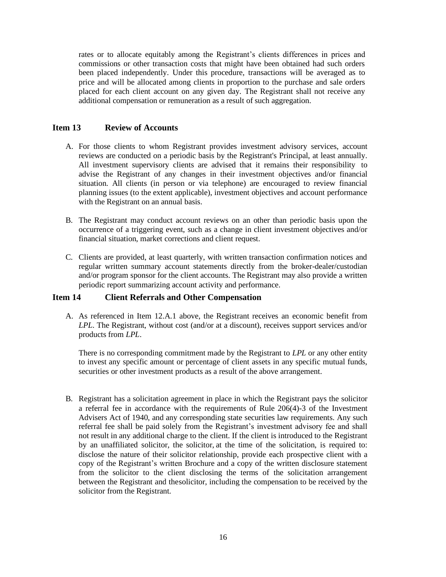rates or to allocate equitably among the Registrant's clients differences in prices and commissions or other transaction costs that might have been obtained had such orders been placed independently. Under this procedure, transactions will be averaged as to price and will be allocated among clients in proportion to the purchase and sale orders placed for each client account on any given day. The Registrant shall not receive any additional compensation or remuneration as a result of such aggregation.

#### <span id="page-15-0"></span>**Item 13 Review of Accounts**

- A. For those clients to whom Registrant provides investment advisory services, account reviews are conducted on a periodic basis by the Registrant's Principal, at least annually. All investment supervisory clients are advised that it remains their responsibility to advise the Registrant of any changes in their investment objectives and/or financial situation. All clients (in person or via telephone) are encouraged to review financial planning issues (to the extent applicable), investment objectives and account performance with the Registrant on an annual basis.
- B. The Registrant may conduct account reviews on an other than periodic basis upon the occurrence of a triggering event, such as a change in client investment objectives and/or financial situation, market corrections and client request.
- C. Clients are provided, at least quarterly, with written transaction confirmation notices and regular written summary account statements directly from the broker-dealer/custodian and/or program sponsor for the client accounts. The Registrant may also provide a written periodic report summarizing account activity and performance.

#### <span id="page-15-1"></span>**Item 14 Client Referrals and Other Compensation**

A. As referenced in Item 12.A.1 above, the Registrant receives an economic benefit from *LPL*. The Registrant, without cost (and/or at a discount), receives support services and/or products from *LPL*.

There is no corresponding commitment made by the Registrant to *LPL* or any other entity to invest any specific amount or percentage of client assets in any specific mutual funds, securities or other investment products as a result of the above arrangement.

B. Registrant has a solicitation agreement in place in which the Registrant pays the solicitor a referral fee in accordance with the requirements of Rule 206(4)-3 of the Investment Advisers Act of 1940, and any corresponding state securities law requirements. Any such referral fee shall be paid solely from the Registrant's investment advisory fee and shall not result in any additional charge to the client. If the client is introduced to the Registrant by an unaffiliated solicitor, the solicitor, at the time of the solicitation, is required to: disclose the nature of their solicitor relationship, provide each prospective client with a copy of the Registrant's written Brochure and a copy of the written disclosure statement from the solicitor to the client disclosing the terms of the solicitation arrangement between the Registrant and thesolicitor, including the compensation to be received by the solicitor from the Registrant.